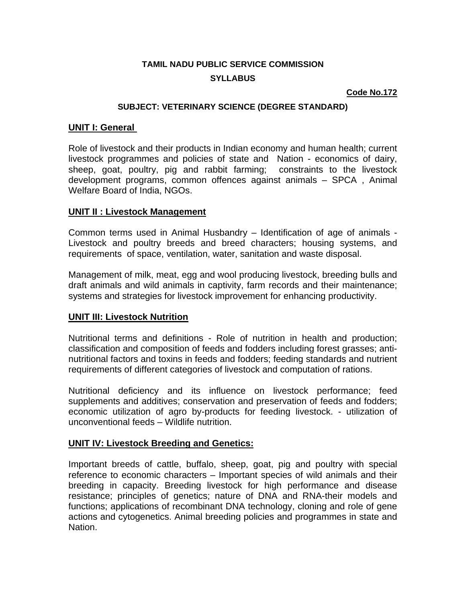# **TAMIL NADU PUBLIC SERVICE COMMISSION SYLLABUS**

### **Code No.172**

#### **SUBJECT: VETERINARY SCIENCE (DEGREE STANDARD)**

### **UNIT I: General**

Role of livestock and their products in Indian economy and human health; current livestock programmes and policies of state and Nation - economics of dairy, sheep, goat, poultry, pig and rabbit farming; constraints to the livestock development programs, common offences against animals – SPCA , Animal Welfare Board of India, NGOs.

### **UNIT II : Livestock Management**

Common terms used in Animal Husbandry – Identification of age of animals - Livestock and poultry breeds and breed characters; housing systems, and requirements of space, ventilation, water, sanitation and waste disposal.

Management of milk, meat, egg and wool producing livestock, breeding bulls and draft animals and wild animals in captivity, farm records and their maintenance; systems and strategies for livestock improvement for enhancing productivity.

## **UNIT III: Livestock Nutrition**

Nutritional terms and definitions - Role of nutrition in health and production; classification and composition of feeds and fodders including forest grasses; antinutritional factors and toxins in feeds and fodders; feeding standards and nutrient requirements of different categories of livestock and computation of rations.

Nutritional deficiency and its influence on livestock performance; feed supplements and additives; conservation and preservation of feeds and fodders; economic utilization of agro by-products for feeding livestock. - utilization of unconventional feeds – Wildlife nutrition.

## **UNIT IV: Livestock Breeding and Genetics:**

Important breeds of cattle, buffalo, sheep, goat, pig and poultry with special reference to economic characters – Important species of wild animals and their breeding in capacity. Breeding livestock for high performance and disease resistance; principles of genetics; nature of DNA and RNA-their models and functions; applications of recombinant DNA technology, cloning and role of gene actions and cytogenetics. Animal breeding policies and programmes in state and Nation.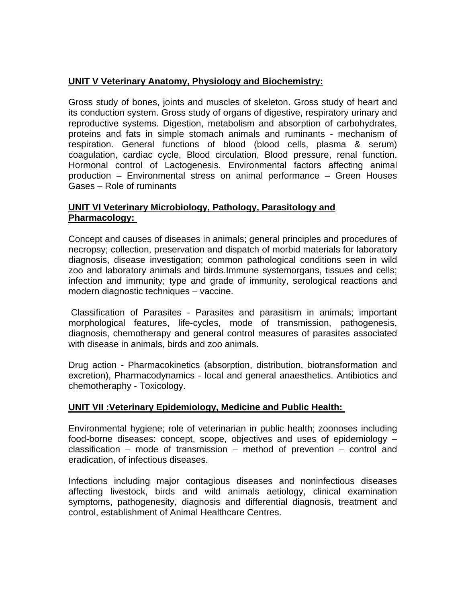# **UNIT V Veterinary Anatomy, Physiology and Biochemistry:**

Gross study of bones, joints and muscles of skeleton. Gross study of heart and its conduction system. Gross study of organs of digestive, respiratory urinary and reproductive systems. Digestion, metabolism and absorption of carbohydrates, proteins and fats in simple stomach animals and ruminants - mechanism of respiration. General functions of blood (blood cells, plasma & serum) coagulation, cardiac cycle, Blood circulation, Blood pressure, renal function. Hormonal control of Lactogenesis. Environmental factors affecting animal production – Environmental stress on animal performance – Green Houses Gases – Role of ruminants

# **UNIT VI Veterinary Microbiology, Pathology, Parasitology and Pharmacology:**

Concept and causes of diseases in animals; general principles and procedures of necropsy; collection, preservation and dispatch of morbid materials for laboratory diagnosis, disease investigation; common pathological conditions seen in wild zoo and laboratory animals and birds.Immune systemorgans, tissues and cells; infection and immunity; type and grade of immunity, serological reactions and modern diagnostic techniques – vaccine.

 Classification of Parasites - Parasites and parasitism in animals; important morphological features, life-cycles, mode of transmission, pathogenesis, diagnosis, chemotherapy and general control measures of parasites associated with disease in animals, birds and zoo animals.

Drug action - Pharmacokinetics (absorption, distribution, biotransformation and excretion), Pharmacodynamics - local and general anaesthetics. Antibiotics and chemotheraphy - Toxicology.

# **UNIT VII :Veterinary Epidemiology, Medicine and Public Health:**

Environmental hygiene; role of veterinarian in public health; zoonoses including food-borne diseases: concept, scope, objectives and uses of epidemiology – classification – mode of transmission – method of prevention – control and eradication, of infectious diseases.

Infections including major contagious diseases and noninfectious diseases affecting livestock, birds and wild animals aetiology, clinical examination symptoms, pathogenesity, diagnosis and differential diagnosis, treatment and control, establishment of Animal Healthcare Centres.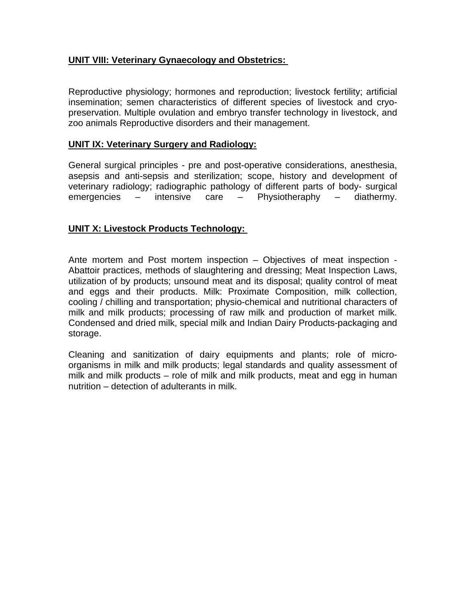# **UNIT VIII: Veterinary Gynaecology and Obstetrics:**

Reproductive physiology; hormones and reproduction; livestock fertility; artificial insemination; semen characteristics of different species of livestock and cryopreservation. Multiple ovulation and embryo transfer technology in livestock, and zoo animals Reproductive disorders and their management.

## **UNIT IX: Veterinary Surgery and Radiology:**

General surgical principles - pre and post-operative considerations, anesthesia, asepsis and anti-sepsis and sterilization; scope, history and development of veterinary radiology; radiographic pathology of different parts of body- surgical emergencies – intensive care – Physiotheraphy – diathermy.

## **UNIT X: Livestock Products Technology:**

Ante mortem and Post mortem inspection – Objectives of meat inspection - Abattoir practices, methods of slaughtering and dressing; Meat Inspection Laws, utilization of by products; unsound meat and its disposal; quality control of meat and eggs and their products. Milk: Proximate Composition, milk collection, cooling / chilling and transportation; physio-chemical and nutritional characters of milk and milk products; processing of raw milk and production of market milk. Condensed and dried milk, special milk and Indian Dairy Products-packaging and storage.

Cleaning and sanitization of dairy equipments and plants; role of microorganisms in milk and milk products; legal standards and quality assessment of milk and milk products – role of milk and milk products, meat and egg in human nutrition – detection of adulterants in milk.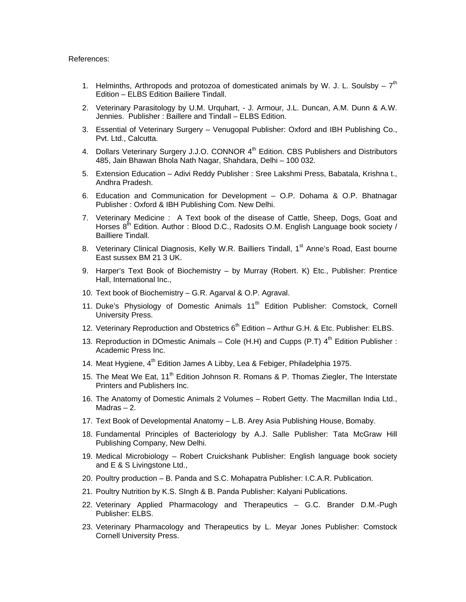#### References:

- 1. Helminths, Arthropods and protozoa of domesticated animals by W. J. L. Soulsby  $7<sup>th</sup>$ Edition – ELBS Edition Bailiere Tindall.
- 2. Veterinary Parasitology by U.M. Urquhart, J. Armour, J.L. Duncan, A.M. Dunn & A.W. Jennies. Publisher : Baillere and Tindall – ELBS Edition.
- 3. Essential of Veterinary Surgery Venugopal Publisher: Oxford and IBH Publishing Co., Pvt. Ltd., Calcutta.
- 4. Dollars Veterinary Surgery J.J.O. CONNOR 4<sup>th</sup> Edition. CBS Publishers and Distributors 485, Jain Bhawan Bhola Nath Nagar, Shahdara, Delhi – 100 032.
- 5. Extension Education Adivi Reddy Publisher : Sree Lakshmi Press, Babatala, Krishna t., Andhra Pradesh.
- 6. Education and Communication for Development O.P. Dohama & O.P. Bhatnagar Publisher : Oxford & IBH Publishing Com. New Delhi.
- 7. Veterinary Medicine : A Text book of the disease of Cattle, Sheep, Dogs, Goat and Horses 8<sup>th</sup> Edition. Author: Blood D.C., Radosits O.M. English Language book society / Bailliere Tindall.
- 8. Veterinary Clinical Diagnosis, Kelly W.R. Bailliers Tindall, 1<sup>st</sup> Anne's Road, East bourne East sussex BM 21 3 UK.
- 9. Harper's Text Book of Biochemistry by Murray (Robert. K) Etc., Publisher: Prentice Hall, International Inc.,
- 10. Text book of Biochemistry G.R. Agarval & O.P. Agraval.
- 11. Duke's Physiology of Domestic Animals 11<sup>th</sup> Edition Publisher: Comstock, Cornell University Press.
- 12. Veterinary Reproduction and Obstetrics  $6<sup>th</sup>$  Edition Arthur G.H. & Etc. Publisher: ELBS.
- 13. Reproduction in DOmestic Animals Cole (H.H) and Cupps (P.T)  $4<sup>th</sup>$  Edition Publisher : Academic Press Inc.
- 14. Meat Hygiene,  $4^{th}$  Edition James A Libby, Lea & Febiger, Philadelphia 1975.
- 15. The Meat We Eat, 11<sup>th</sup> Edition Johnson R. Romans & P. Thomas Ziegler, The Interstate Printers and Publishers Inc.
- 16. The Anatomy of Domestic Animals 2 Volumes Robert Getty. The Macmillan India Ltd.,  $Madras - 2$ .
- 17. Text Book of Developmental Anatomy L.B. Arey Asia Publishing House, Bomaby.
- 18. Fundamental Principles of Bacteriology by A.J. Salle Publisher: Tata McGraw Hill Publishing Company, New Delhi.
- 19. Medical Microbiology Robert Cruickshank Publisher: English language book society and E & S Livingstone Ltd.,
- 20. Poultry production B. Panda and S.C. Mohapatra Publisher: I.C.A.R. Publication.
- 21. Poultry Nutrition by K.S. SIngh & B. Panda Publisher: Kalyani Publications.
- 22. Veterinary Applied Pharmacology and Therapeutics G.C. Brander D.M.-Pugh Publisher: ELBS.
- 23. Veterinary Pharmacology and Therapeutics by L. Meyar Jones Publisher: Comstock Cornell University Press.